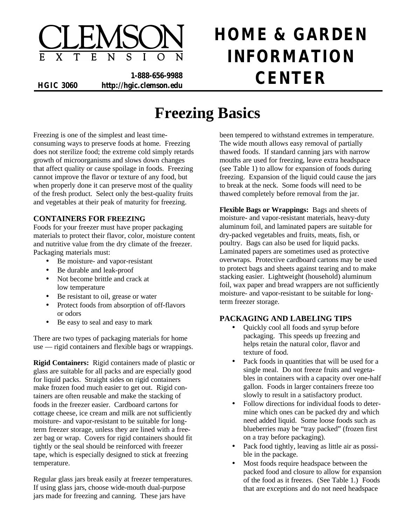

**1-888-656-9988 HGIC 3060 http://hgic.clemson.edu CENTER**

# **HOME & GARDEN INFORMATION**

# **Freezing Basics**

Freezing is one of the simplest and least timeconsuming ways to preserve foods at home. Freezing does not sterilize food; the extreme cold simply retards growth of microorganisms and slows down changes that affect quality or cause spoilage in foods. Freezing cannot improve the flavor or texture of any food, but when properly done it can preserve most of the quality of the fresh product. Select only the best-quality fruits and vegetables at their peak of maturity for freezing.

# **CONTAINERS FOR FREEZING**

Foods for your freezer must have proper packaging materials to protect their flavor, color, moisture content and nutritive value from the dry climate of the freezer. Packaging materials must:

- Be moisture- and vapor-resistant
- Be durable and leak-proof
- Not become brittle and crack at low temperature
- Be resistant to oil, grease or water
- Protect foods from absorption of off-flavors or odors
- Be easy to seal and easy to mark

There are two types of packaging materials for home use — rigid containers and flexible bags or wrappings.

**Rigid Containers:** Rigid containers made of plastic or glass are suitable for all packs and are especially good for liquid packs. Straight sides on rigid containers make frozen food much easier to get out. Rigid containers are often reusable and make the stacking of foods in the freezer easier. Cardboard cartons for cottage cheese, ice cream and milk are not sufficiently moisture- and vapor-resistant to be suitable for longterm freezer storage, unless they are lined with a freezer bag or wrap. Covers for rigid containers should fit tightly or the seal should be reinforced with freezer tape, which is especially designed to stick at freezing temperature.

Regular glass jars break easily at freezer temperatures. If using glass jars, choose wide-mouth dual-purpose jars made for freezing and canning. These jars have

been tempered to withstand extremes in temperature. The wide mouth allows easy removal of partially thawed foods. If standard canning jars with narrow mouths are used for freezing, leave extra headspace (see Table 1) to allow for expansion of foods during freezing. Expansion of the liquid could cause the jars to break at the neck. Some foods will need to be thawed completely before removal from the jar.

**Flexible Bags or Wrappings:** Bags and sheets of moisture- and vapor-resistant materials, heavy-duty aluminum foil, and laminated papers are suitable for dry-packed vegetables and fruits, meats, fish, or poultry. Bags can also be used for liquid packs. Laminated papers are sometimes used as protective overwraps. Protective cardboard cartons may be used to protect bags and sheets against tearing and to make stacking easier. Lightweight (household) aluminum foil, wax paper and bread wrappers are not sufficiently moisture- and vapor-resistant to be suitable for longterm freezer storage.

# **PACKAGING AND LABELING TIPS**

- Quickly cool all foods and syrup before packaging. This speeds up freezing and helps retain the natural color, flavor and texture of food.
- Pack foods in quantities that will be used for a single meal. Do not freeze fruits and vegetables in containers with a capacity over one-half gallon. Foods in larger containers freeze too slowly to result in a satisfactory product.
- Follow directions for individual foods to determine which ones can be packed dry and which need added liquid. Some loose foods such as blueberries may be "tray packed" (frozen first on a tray before packaging).
- Pack food tightly, leaving as little air as possible in the package.
- Most foods require headspace between the packed food and closure to allow for expansion of the food as it freezes. (See Table 1.) Foods that are exceptions and do not need headspace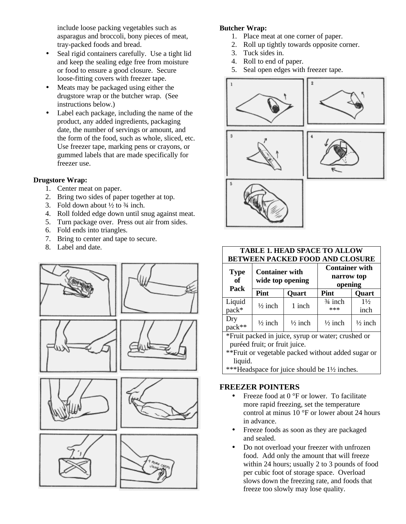include loose packing vegetables such as asparagus and broccoli, bony pieces of meat, tray-packed foods and bread.

- Seal rigid containers carefully. Use a tight lid and keep the sealing edge free from moisture or food to ensure a good closure. Secure loose-fitting covers with freezer tape.
- Meats may be packaged using either the drugstore wrap or the butcher wrap. (See instructions below.)
- Label each package, including the name of the product, any added ingredients, packaging date, the number of servings or amount, and the form of the food, such as whole, sliced, etc. Use freezer tape, marking pens or crayons, or gummed labels that are made specifically for freezer use.

# **Drugstore Wrap:**

- 1. Center meat on paper.
- 2. Bring two sides of paper together at top.
- 3. Fold down about  $\frac{1}{2}$  to  $\frac{3}{4}$  inch.
- 4. Roll folded edge down until snug against meat.
- 5. Turn package over. Press out air from sides.
- 6. Fold ends into triangles.
- 7. Bring to center and tape to secure.
- 8. Label and date.



# **Butcher Wrap:**

- 1. Place meat at one corner of paper.
- 2. Roll up tightly towards opposite corner.
- 3. Tuck sides in.
- 4. Roll to end of paper.
- 5. Seal open edges with freezer tape.









| <b>TABLE 1. HEAD SPACE TO ALLOW</b><br><b>BETWEEN PACKED FOOD AND CLOSURE</b> |                                           |                    |                                                |                        |  |  |  |  |
|-------------------------------------------------------------------------------|-------------------------------------------|--------------------|------------------------------------------------|------------------------|--|--|--|--|
| <b>Type</b><br>of<br>Pack                                                     | <b>Container with</b><br>wide top opening |                    | <b>Container with</b><br>narrow top<br>opening |                        |  |  |  |  |
|                                                                               | Pint                                      | <b>Quart</b>       | Pint                                           | <b>Quart</b>           |  |  |  |  |
| Liquid<br>$pack*$                                                             | $\frac{1}{2}$ inch                        | 1 inch             | $\frac{3}{4}$ inch<br>***                      | $1\frac{1}{2}$<br>inch |  |  |  |  |
| Dry<br>pack**                                                                 | $\frac{1}{2}$ inch                        | $\frac{1}{2}$ inch | $\frac{1}{2}$ inch                             | $\frac{1}{2}$ inch     |  |  |  |  |

\*Fruit packed in juice, syrup or water; crushed or puréed fruit; or fruit juice.

\*\*Fruit or vegetable packed without added sugar or liquid.

\*\*\*Headspace for juice should be 1½ inches.

# **FREEZER POINTERS**

- Freeze food at 0 °F or lower. To facilitate more rapid freezing, set the temperature control at minus 10 °F or lower about 24 hours in advance.
- Freeze foods as soon as they are packaged and sealed.
- Do not overload your freezer with unfrozen food. Add only the amount that will freeze within 24 hours; usually 2 to 3 pounds of food per cubic foot of storage space. Overload slows down the freezing rate, and foods that freeze too slowly may lose quality.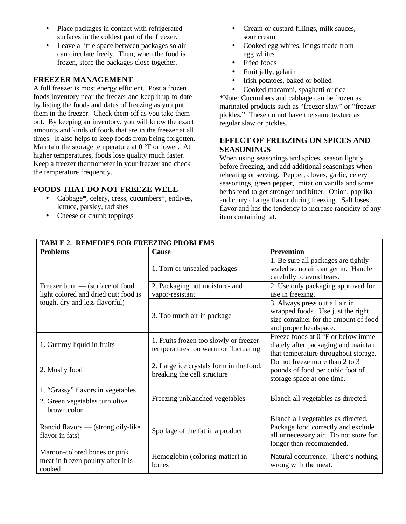- Place packages in contact with refrigerated surfaces in the coldest part of the freezer.
- Leave a little space between packages so air can circulate freely. Then, when the food is frozen, store the packages close together.

#### **FREEZER MANAGEMENT**

A full freezer is most energy efficient. Post a frozen foods inventory near the freezer and keep it up-to-date by listing the foods and dates of freezing as you put them in the freezer. Check them off as you take them out. By keeping an inventory, you will know the exact amounts and kinds of foods that are in the freezer at all times. It also helps to keep foods from being forgotten. Maintain the storage temperature at 0 °F or lower. At higher temperatures, foods lose quality much faster. Keep a freezer thermometer in your freezer and check the temperature frequently.

#### **FOODS THAT DO NOT FREEZE WELL**

- Cabbage<sup>\*</sup>, celery, cress, cucumbers<sup>\*</sup>, endives, lettuce, parsley, radishes
- Cheese or crumb toppings
- Cream or custard fillings, milk sauces, sour cream
- Cooked egg whites, icings made from egg whites
- Fried foods
- Fruit jelly, gelatin
- Irish potatoes, baked or boiled
- Cooked macaroni, spaghetti or rice

\*Note: Cucumbers and cabbage can be frozen as marinated products such as "freezer slaw" or "freezer pickles." These do not have the same texture as regular slaw or pickles.

# **EFFECT OF FREEZING ON SPICES AND SEASONINGS**

When using seasonings and spices, season lightly before freezing, and add additional seasonings when reheating or serving. Pepper, cloves, garlic, celery seasonings, green pepper, imitation vanilla and some herbs tend to get stronger and bitter. Onion, paprika and curry change flavor during freezing. Salt loses flavor and has the tendency to increase rancidity of any item containing fat.

| <b>TABLE 2. REMEDIES FOR FREEZING PROBLEMS</b>                                     |                                                                                |                                                                                                                                               |  |  |  |  |
|------------------------------------------------------------------------------------|--------------------------------------------------------------------------------|-----------------------------------------------------------------------------------------------------------------------------------------------|--|--|--|--|
| <b>Problems</b>                                                                    | <b>Cause</b>                                                                   | <b>Prevention</b>                                                                                                                             |  |  |  |  |
|                                                                                    | 1. Torn or unsealed packages                                                   | 1. Be sure all packages are tightly<br>sealed so no air can get in. Handle<br>carefully to avoid tears.                                       |  |  |  |  |
| Freezer burn — (surface of food<br>light colored and dried out; food is            | 2. Packaging not moisture- and<br>vapor-resistant                              | 2. Use only packaging approved for<br>use in freezing.                                                                                        |  |  |  |  |
| tough, dry and less flavorful)                                                     | 3. Too much air in package                                                     | 3. Always press out all air in<br>wrapped foods. Use just the right<br>size container for the amount of food<br>and proper headspace.         |  |  |  |  |
| 1. Gummy liquid in fruits                                                          | 1. Fruits frozen too slowly or freezer<br>temperatures too warm or fluctuating | Freeze foods at 0 °F or below imme-<br>diately after packaging and maintain<br>that temperature throughout storage.                           |  |  |  |  |
| 2. Mushy food                                                                      | 2. Large ice crystals form in the food,<br>breaking the cell structure         | Do not freeze more than 2 to 3<br>pounds of food per cubic foot of<br>storage space at one time.                                              |  |  |  |  |
| 1. "Grassy" flavors in vegetables<br>2. Green vegetables turn olive<br>brown color | Freezing unblanched vegetables                                                 | Blanch all vegetables as directed.                                                                                                            |  |  |  |  |
| Rancid flavors — (strong oily-like<br>flavor in fats)                              | Spoilage of the fat in a product                                               | Blanch all vegetables as directed.<br>Package food correctly and exclude<br>all unnecessary air. Do not store for<br>longer than recommended. |  |  |  |  |
| Maroon-colored bones or pink<br>meat in frozen poultry after it is<br>cooked       | Hemoglobin (coloring matter) in<br>bones                                       | Natural occurrence. There's nothing<br>wrong with the meat.                                                                                   |  |  |  |  |